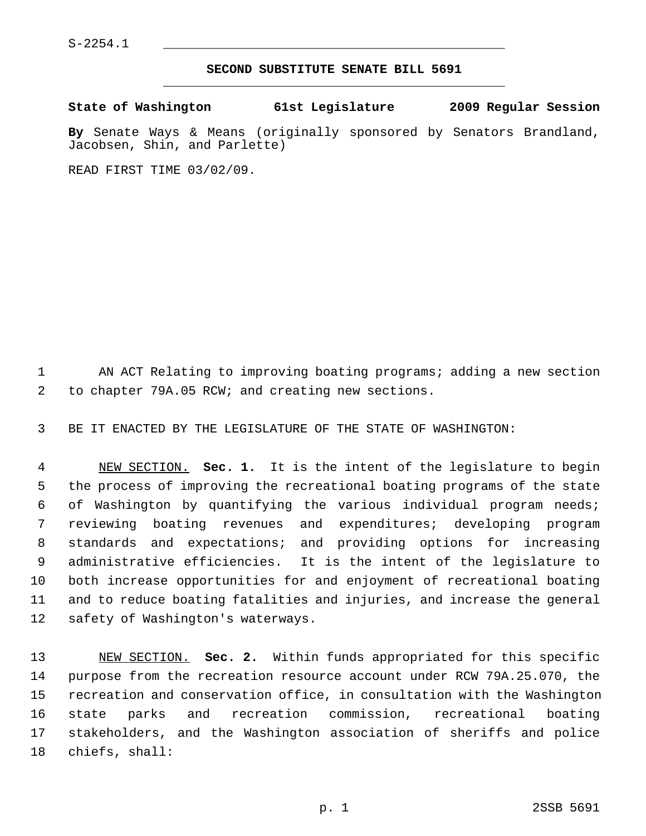$S-2254.1$ 

## **SECOND SUBSTITUTE SENATE BILL 5691** \_\_\_\_\_\_\_\_\_\_\_\_\_\_\_\_\_\_\_\_\_\_\_\_\_\_\_\_\_\_\_\_\_\_\_\_\_\_\_\_\_\_\_\_\_

**State of Washington 61st Legislature 2009 Regular Session**

**By** Senate Ways & Means (originally sponsored by Senators Brandland, Jacobsen, Shin, and Parlette)

READ FIRST TIME 03/02/09.

 1 AN ACT Relating to improving boating programs; adding a new section 2 to chapter 79A.05 RCW; and creating new sections.

3 BE IT ENACTED BY THE LEGISLATURE OF THE STATE OF WASHINGTON:

 4 NEW SECTION. **Sec. 1.** It is the intent of the legislature to begin 5 the process of improving the recreational boating programs of the state 6 of Washington by quantifying the various individual program needs; 7 reviewing boating revenues and expenditures; developing program 8 standards and expectations; and providing options for increasing 9 administrative efficiencies. It is the intent of the legislature to 10 both increase opportunities for and enjoyment of recreational boating 11 and to reduce boating fatalities and injuries, and increase the general 12 safety of Washington's waterways.

13 NEW SECTION. **Sec. 2.** Within funds appropriated for this specific 14 purpose from the recreation resource account under RCW 79A.25.070, the 15 recreation and conservation office, in consultation with the Washington 16 state parks and recreation commission, recreational boating 17 stakeholders, and the Washington association of sheriffs and police 18 chiefs, shall: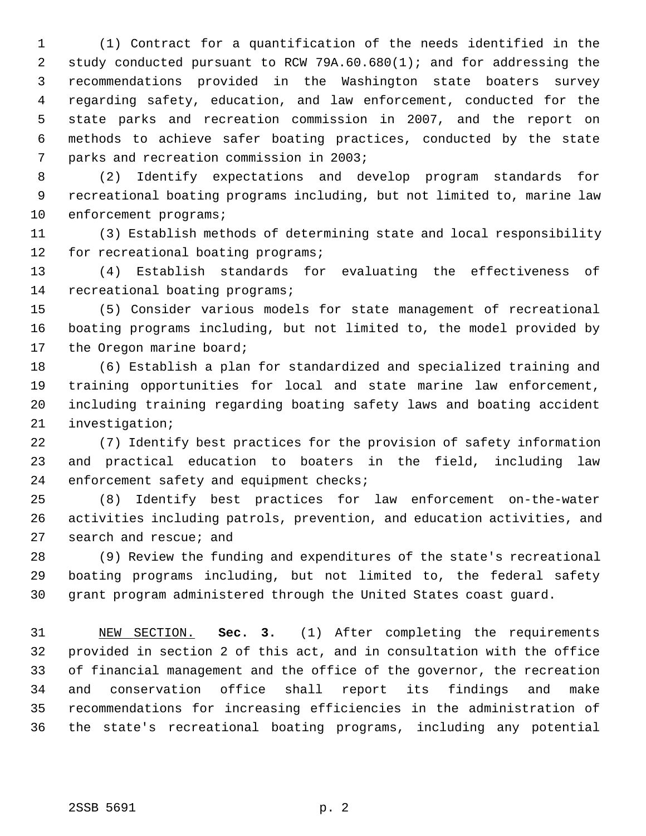1 (1) Contract for a quantification of the needs identified in the 2 study conducted pursuant to RCW 79A.60.680(1); and for addressing the 3 recommendations provided in the Washington state boaters survey 4 regarding safety, education, and law enforcement, conducted for the 5 state parks and recreation commission in 2007, and the report on 6 methods to achieve safer boating practices, conducted by the state 7 parks and recreation commission in 2003;

 8 (2) Identify expectations and develop program standards for 9 recreational boating programs including, but not limited to, marine law 10 enforcement programs;

11 (3) Establish methods of determining state and local responsibility 12 for recreational boating programs;

13 (4) Establish standards for evaluating the effectiveness of 14 recreational boating programs;

15 (5) Consider various models for state management of recreational 16 boating programs including, but not limited to, the model provided by 17 the Oregon marine board;

18 (6) Establish a plan for standardized and specialized training and 19 training opportunities for local and state marine law enforcement, 20 including training regarding boating safety laws and boating accident 21 investigation;

22 (7) Identify best practices for the provision of safety information 23 and practical education to boaters in the field, including law 24 enforcement safety and equipment checks;

25 (8) Identify best practices for law enforcement on-the-water 26 activities including patrols, prevention, and education activities, and 27 search and rescue; and

28 (9) Review the funding and expenditures of the state's recreational 29 boating programs including, but not limited to, the federal safety 30 grant program administered through the United States coast guard.

31 NEW SECTION. **Sec. 3.** (1) After completing the requirements 32 provided in section 2 of this act, and in consultation with the office 33 of financial management and the office of the governor, the recreation 34 and conservation office shall report its findings and make 35 recommendations for increasing efficiencies in the administration of 36 the state's recreational boating programs, including any potential